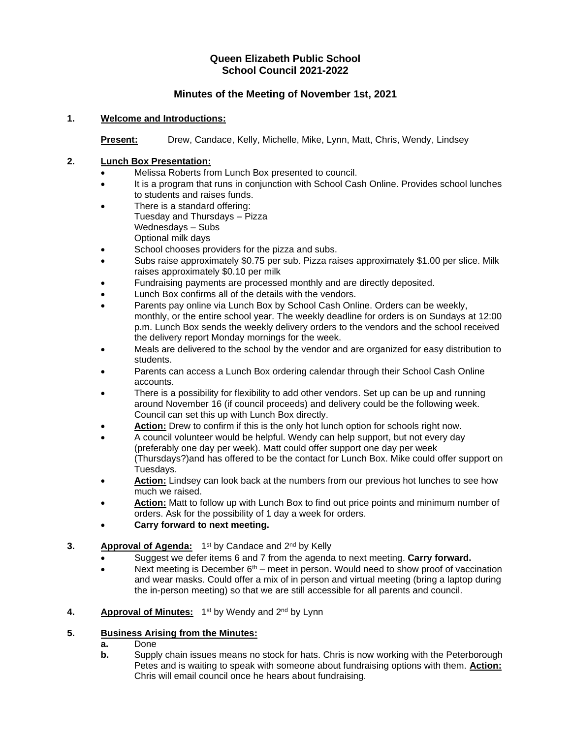# **Queen Elizabeth Public School School Council 2021-2022**

# **Minutes of the Meeting of November 1st, 2021**

### **1. Welcome and Introductions:**

**Present:** Drew, Candace, Kelly, Michelle, Mike, Lynn, Matt, Chris, Wendy, Lindsey

### **2. Lunch Box Presentation:**

- Melissa Roberts from Lunch Box presented to council.
- It is a program that runs in conjunction with School Cash Online. Provides school lunches to students and raises funds.
- There is a standard offering: Tuesday and Thursdays – Pizza Wednesdays – Subs Optional milk days
- School chooses providers for the pizza and subs.
- Subs raise approximately \$0.75 per sub. Pizza raises approximately \$1.00 per slice. Milk raises approximately \$0.10 per milk
- Fundraising payments are processed monthly and are directly deposited.
- Lunch Box confirms all of the details with the vendors.
- Parents pay online via Lunch Box by School Cash Online. Orders can be weekly, monthly, or the entire school year. The weekly deadline for orders is on Sundays at 12:00 p.m. Lunch Box sends the weekly delivery orders to the vendors and the school received the delivery report Monday mornings for the week.
- Meals are delivered to the school by the vendor and are organized for easy distribution to students.
- Parents can access a Lunch Box ordering calendar through their School Cash Online accounts.
- There is a possibility for flexibility to add other vendors. Set up can be up and running around November 16 (if council proceeds) and delivery could be the following week. Council can set this up with Lunch Box directly.
- **Action:** Drew to confirm if this is the only hot lunch option for schools right now.
- A council volunteer would be helpful. Wendy can help support, but not every day (preferably one day per week). Matt could offer support one day per week (Thursdays?)and has offered to be the contact for Lunch Box. Mike could offer support on Tuesdays.
- **Action:** Lindsey can look back at the numbers from our previous hot lunches to see how much we raised.
- **Action:** Matt to follow up with Lunch Box to find out price points and minimum number of orders. Ask for the possibility of 1 day a week for orders.
- **Carry forward to next meeting.**

## **3.** Approval of Agenda: 1<sup>st</sup> by Candace and 2<sup>nd</sup> by Kelly

- Suggest we defer items 6 and 7 from the agenda to next meeting. **Carry forward.**
- Next meeting is December  $6<sup>th</sup>$  meet in person. Would need to show proof of vaccination and wear masks. Could offer a mix of in person and virtual meeting (bring a laptop during the in-person meeting) so that we are still accessible for all parents and council.
- 4. **Approval of Minutes:** 1<sup>st</sup> by Wendy and 2<sup>nd</sup> by Lynn

## **5. Business Arising from the Minutes:**

- **a.** Done
- **b.** Supply chain issues means no stock for hats. Chris is now working with the Peterborough Petes and is waiting to speak with someone about fundraising options with them. **Action:** Chris will email council once he hears about fundraising.